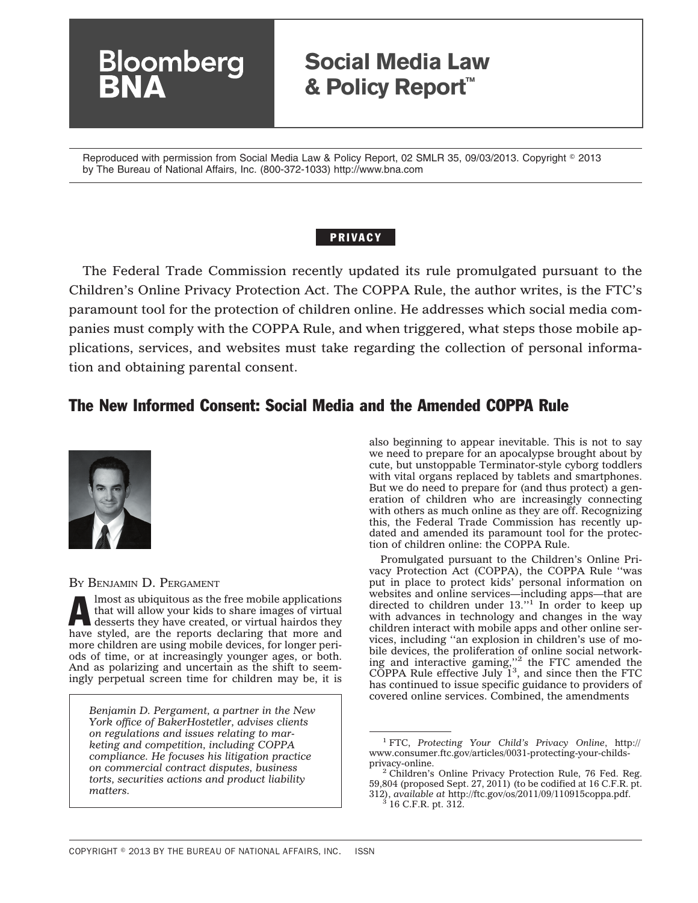## **Social Media Law & Policy Report™**

Reproduced with permission from Social Media Law & Policy Report, 02 SMLR 35, 09/03/2013. Copyright © 2013 by The Bureau of National Affairs, Inc. (800-372-1033) http://www.bna.com

### PRIVACY

The Federal Trade Commission recently updated its rule promulgated pursuant to the Children's Online Privacy Protection Act. The COPPA Rule, the author writes, is the FTC's paramount tool for the protection of children online. He addresses which social media companies must comply with the COPPA Rule, and when triggered, what steps those mobile applications, services, and websites must take regarding the collection of personal information and obtaining parental consent.

### The New Informed Consent: Social Media and the Amended COPPA Rule



### BY BENJAMIN D. PERGAMENT

**loomberg** 

Almost as ubiquitous as the free mobile applications that will allow your kids to share images of virtual desserts they have created, or virtual hairdos they have styled, are the reports declaring that more and more children are using mobile devices, for longer periods of time, or at increasingly younger ages, or both. And as polarizing and uncertain as the shift to seemingly perpetual screen time for children may be, it is

*Benjamin D. Pergament, a partner in the New York office of BakerHostetler, advises clients on regulations and issues relating to marketing and competition, including COPPA compliance. He focuses his litigation practice on commercial contract disputes, business torts, securities actions and product liability matters.*

also beginning to appear inevitable. This is not to say we need to prepare for an apocalypse brought about by cute, but unstoppable Terminator-style cyborg toddlers with vital organs replaced by tablets and smartphones. But we do need to prepare for (and thus protect) a generation of children who are increasingly connecting with others as much online as they are off. Recognizing this, the Federal Trade Commission has recently updated and amended its paramount tool for the protection of children online: the COPPA Rule.

Promulgated pursuant to the Children's Online Privacy Protection Act (COPPA), the COPPA Rule ''was put in place to protect kids' personal information on websites and online services—including apps—that are directed to children under 13.''1 In order to keep up with advances in technology and changes in the way children interact with mobile apps and other online services, including ''an explosion in children's use of mobile devices, the proliferation of online social network-<br>ing and interactive gaming,''<sup>2</sup> the FTC amended the COPPA Rule effective July  $1^3$ , and since then the FTC has continued to issue specific guidance to providers of covered online services. Combined, the amendments

<sup>1</sup> FTC, *Protecting Your Child's Privacy Online*, [http://](http://www.consumer.ftc.gov/articles/0031-protecting-your-childs-privacy-online) [www.consumer.ftc.gov/articles/0031-protecting-your-childs-](http://www.consumer.ftc.gov/articles/0031-protecting-your-childs-privacy-online)

 $2$  Children's Online Privacy Protection Rule, 76 Fed. Reg. 59,804 (proposed Sept. 27, 2011) (to be codified at 16 C.F.R. pt. 312), *available at* [http://ftc.gov/os/2011/09/110915coppa.pdf.](http://ftc.gov/os/2011/09/110915coppa.pdf) <sup>3</sup> 16 C.F.R. pt. 312.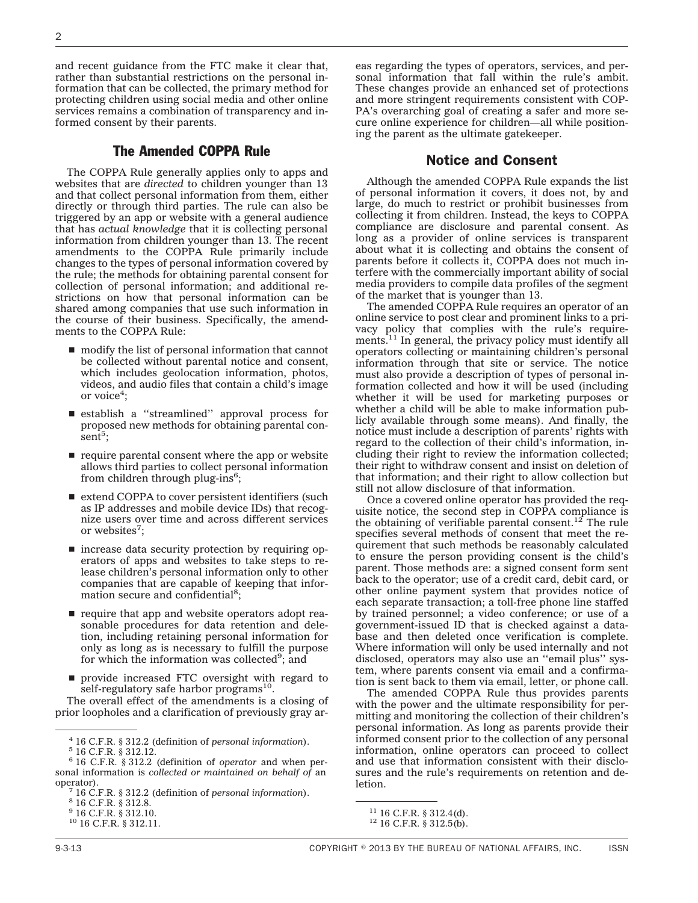and recent guidance from the FTC make it clear that, rather than substantial restrictions on the personal information that can be collected, the primary method for protecting children using social media and other online services remains a combination of transparency and informed consent by their parents.

### The Amended COPPA Rule

The COPPA Rule generally applies only to apps and websites that are *directed* to children younger than 13 and that collect personal information from them, either directly or through third parties. The rule can also be triggered by an app or website with a general audience that has *actual knowledge* that it is collecting personal information from children younger than 13. The recent amendments to the COPPA Rule primarily include changes to the types of personal information covered by the rule; the methods for obtaining parental consent for collection of personal information; and additional restrictions on how that personal information can be shared among companies that use such information in the course of their business. Specifically, the amendments to the COPPA Rule:

- $\blacksquare$  modify the list of personal information that cannot be collected without parental notice and consent, which includes geolocation information, photos, videos, and audio files that contain a child's image or voice<sup>4</sup>;
- s establish a ''streamlined'' approval process for proposed new methods for obtaining parental con- $\sinh^5$ ;
- $\blacksquare$  require parental consent where the app or website allows third parties to collect personal information from children through plug-ins<sup>6</sup>;
- $\blacksquare$  extend COPPA to cover persistent identifiers (such as IP addresses and mobile device IDs) that recognize users over time and across different services or websites<sup>7</sup>;
- $\blacksquare$  increase data security protection by requiring operators of apps and websites to take steps to release children's personal information only to other companies that are capable of keeping that information secure and confidential<sup>8</sup>;
- $\blacksquare$  require that app and website operators adopt reasonable procedures for data retention and deletion, including retaining personal information for only as long as is necessary to fulfill the purpose for which the information was collected<sup>9</sup>; and
- **perovide increased FTC oversight with regard to** self-regulatory safe harbor programs<sup>10</sup>.

The overall effect of the amendments is a closing of prior loopholes and a clarification of previously gray areas regarding the types of operators, services, and personal information that fall within the rule's ambit. These changes provide an enhanced set of protections and more stringent requirements consistent with COP-PA's overarching goal of creating a safer and more secure online experience for children—all while positioning the parent as the ultimate gatekeeper.

### Notice and Consent

Although the amended COPPA Rule expands the list of personal information it covers, it does not, by and large, do much to restrict or prohibit businesses from collecting it from children. Instead, the keys to COPPA compliance are disclosure and parental consent. As long as a provider of online services is transparent about what it is collecting and obtains the consent of parents before it collects it, COPPA does not much interfere with the commercially important ability of social media providers to compile data profiles of the segment of the market that is younger than 13.

The amended COPPA Rule requires an operator of an online service to post clear and prominent links to a privacy policy that complies with the rule's requirements.<sup>11</sup> In general, the privacy policy must identify all operators collecting or maintaining children's personal information through that site or service. The notice must also provide a description of types of personal information collected and how it will be used (including whether it will be used for marketing purposes or whether a child will be able to make information publicly available through some means). And finally, the notice must include a description of parents' rights with regard to the collection of their child's information, including their right to review the information collected; their right to withdraw consent and insist on deletion of that information; and their right to allow collection but still not allow disclosure of that information.

Once a covered online operator has provided the requisite notice, the second step in COPPA compliance is the obtaining of verifiable parental consent.12 The rule specifies several methods of consent that meet the requirement that such methods be reasonably calculated to ensure the person providing consent is the child's parent. Those methods are: a signed consent form sent back to the operator; use of a credit card, debit card, or other online payment system that provides notice of each separate transaction; a toll-free phone line staffed by trained personnel; a video conference; or use of a government-issued ID that is checked against a database and then deleted once verification is complete. Where information will only be used internally and not disclosed, operators may also use an ''email plus'' system, where parents consent via email and a confirmation is sent back to them via email, letter, or phone call.

The amended COPPA Rule thus provides parents with the power and the ultimate responsibility for permitting and monitoring the collection of their children's personal information. As long as parents provide their informed consent prior to the collection of any personal information, online operators can proceed to collect and use that information consistent with their disclosures and the rule's requirements on retention and deletion.

<sup>4</sup> 16 C.F.R. § 312.2 (definition of *personal information*). <sup>5</sup> 16 C.F.R. § 312.12.

<sup>6</sup> 16 C.F.R. § 312.2 (definition of *operator* and when personal information is *collected or maintained on behalf of* an operator). <sup>7</sup> 16 C.F.R. § 312.2 (definition of *personal information*). <sup>8</sup> 16 C.F.R. § 312.8.

<sup>9</sup> 16 C.F.R. § 312.10.

<sup>10</sup> 16 C.F.R. § 312.11.

<sup>&</sup>lt;sup>11</sup> 16 C.F.R. § 312.4(d).<br><sup>12</sup> 16 C.F.R. § 312.5(b).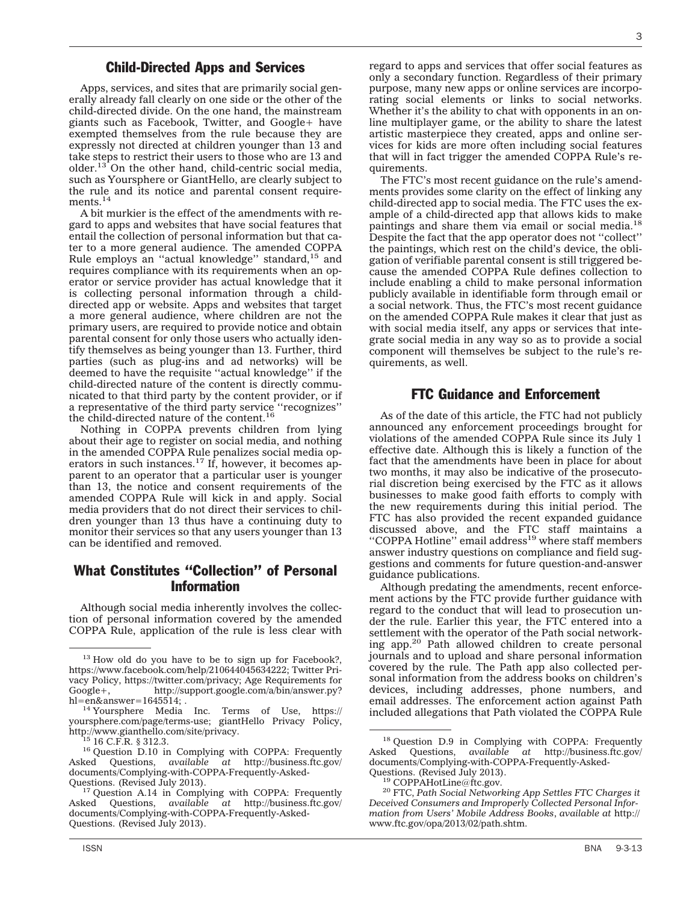### Child-Directed Apps and Services

Apps, services, and sites that are primarily social generally already fall clearly on one side or the other of the child-directed divide. On the one hand, the mainstream giants such as Facebook, Twitter, and Google+ have exempted themselves from the rule because they are expressly not directed at children younger than 13 and take steps to restrict their users to those who are 13 and older. $13$  On the other hand, child-centric social media, such as Yoursphere or GiantHello, are clearly subject to the rule and its notice and parental consent requirements.<sup>14</sup>

A bit murkier is the effect of the amendments with regard to apps and websites that have social features that entail the collection of personal information but that cater to a more general audience. The amended COPPA Rule employs an "actual knowledge" standard,<sup>15</sup> and requires compliance with its requirements when an operator or service provider has actual knowledge that it is collecting personal information through a childdirected app or website. Apps and websites that target a more general audience, where children are not the primary users, are required to provide notice and obtain parental consent for only those users who actually identify themselves as being younger than 13. Further, third parties (such as plug-ins and ad networks) will be deemed to have the requisite ''actual knowledge'' if the child-directed nature of the content is directly communicated to that third party by the content provider, or if a representative of the third party service ''recognizes'' the child-directed nature of the content.16

Nothing in COPPA prevents children from lying about their age to register on social media, and nothing in the amended COPPA Rule penalizes social media operators in such instances.<sup>17</sup> If, however, it becomes apparent to an operator that a particular user is younger than 13, the notice and consent requirements of the amended COPPA Rule will kick in and apply. Social media providers that do not direct their services to children younger than 13 thus have a continuing duty to monitor their services so that any users younger than 13 can be identified and removed.

### What Constitutes ''Collection'' of Personal Information

Although social media inherently involves the collection of personal information covered by the amended COPPA Rule, application of the rule is less clear with

regard to apps and services that offer social features as only a secondary function. Regardless of their primary purpose, many new apps or online services are incorporating social elements or links to social networks. Whether it's the ability to chat with opponents in an online multiplayer game, or the ability to share the latest artistic masterpiece they created, apps and online services for kids are more often including social features that will in fact trigger the amended COPPA Rule's requirements.

The FTC's most recent guidance on the rule's amendments provides some clarity on the effect of linking any child-directed app to social media. The FTC uses the example of a child-directed app that allows kids to make paintings and share them via email or social media.18 Despite the fact that the app operator does not ''collect'' the paintings, which rest on the child's device, the obligation of verifiable parental consent is still triggered because the amended COPPA Rule defines collection to include enabling a child to make personal information publicly available in identifiable form through email or a social network. Thus, the FTC's most recent guidance on the amended COPPA Rule makes it clear that just as with social media itself, any apps or services that integrate social media in any way so as to provide a social component will themselves be subject to the rule's requirements, as well.

### FTC Guidance and Enforcement

As of the date of this article, the FTC had not publicly announced any enforcement proceedings brought for violations of the amended COPPA Rule since its July 1 effective date. Although this is likely a function of the fact that the amendments have been in place for about two months, it may also be indicative of the prosecutorial discretion being exercised by the FTC as it allows businesses to make good faith efforts to comply with the new requirements during this initial period. The FTC has also provided the recent expanded guidance discussed above, and the FTC staff maintains a<br>"COPPA Hotline" email address<sup>19</sup> where staff members answer industry questions on compliance and field suggestions and comments for future question-and-answer guidance publications.

Although predating the amendments, recent enforcement actions by the FTC provide further guidance with regard to the conduct that will lead to prosecution under the rule. Earlier this year, the FTC entered into a settlement with the operator of the Path social networking app.<sup>20</sup> Path allowed children to create personal journals and to upload and share personal information covered by the rule. The Path app also collected personal information from the address books on children's devices, including addresses, phone numbers, and email addresses. The enforcement action against Path included allegations that Path violated the COPPA Rule

<sup>&</sup>lt;sup>13</sup> How old do you have to be to sign up for Facebook?, [https://www.facebook.com/help/210644045634222;](https://www.facebook.com/help/210644045634222) Twitter Privacy Policy, [https://twitter.com/privacy;](https://twitter.com/privacy) Age Requirements for Google+. http://support.google.com/a/bin/answer.py? Google+, [http://support.google.com/a/bin/answer.py?](http://support.google.com/a/bin/answer.py?hl=en&answer=1645514)<br>hl=en&answer=1645514;.

[hl=en&answer=1645514;](http://support.google.com/a/bin/answer.py?hl=en&answer=1645514) .<br><sup>14</sup> Yoursphere Media Inc. Terms of Use, [https://](https://yoursphere.com/page/terms-use) [yoursphere.com/page/terms-use;](https://yoursphere.com/page/terms-use) giantHello Privacy Policy, [http://www.gianthello.com/site/privacy.](http://www.gianthello.com/site/privacy)<br><sup>15</sup> 16 C.F.R. § 312.3.<br><sup>16</sup> Question D.10 in Complying with COPPA: Frequently

Asked Questions, *available at* [http://business.ftc.gov/](http://business.ftc.gov/documents/Complying-with-COPPA-Frequently-Asked-Questions) documents/Complying-with-COPPA-Frequently-Asked-Questions. (Revised July 2013).

<sup>&</sup>lt;sup>17</sup> Question A.14 in Complying with COPPA: Frequently Asked Questions, *available at* [http://business.ftc.gov/](http://business.ftc.gov/documents/Complying-with-COPPA-Frequently-Asked-Questions) [documents/Complying-with-COPPA-Frequently-Asked-](http://business.ftc.gov/documents/Complying-with-COPPA-Frequently-Asked-Questions)[Questions.](http://business.ftc.gov/documents/Complying-with-COPPA-Frequently-Asked-Questions) (Revised July 2013).

<sup>&</sup>lt;sup>18</sup> Question D.9 in Complying with COPPA: Frequently Asked Questions, *available at* [http://business.ftc.gov/](http://business.ftc.gov/documents/Complying-with-COPPA-Frequently-Asked-Questions) documents/Complying-with-COPPA-Frequently-Asked-<br>Questions. (Revised July 2013).

<sup>&</sup>lt;sup>19</sup> [COPPAHotLine@ftc.gov.](mailto:COPPAHotLine@ftc.gov)<br><sup>20</sup> FTC, *Path Social Networking App Settles FTC Charges it Deceived Consumers and Improperly Collected Personal Information from Users' Mobile Address Books*, *available at* [http://](http://www.ftc.gov/opa/2013/02/path.shtm) [www.ftc.gov/opa/2013/02/path.shtm.](http://www.ftc.gov/opa/2013/02/path.shtm)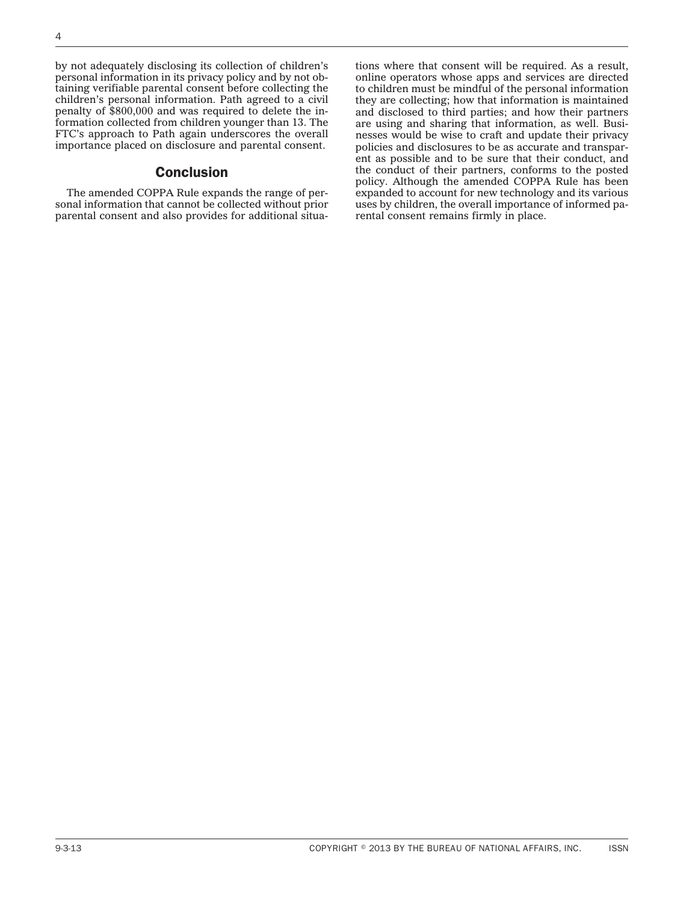by not adequately disclosing its collection of children's personal information in its privacy policy and by not obtaining verifiable parental consent before collecting the children's personal information. Path agreed to a civil penalty of \$800,000 and was required to delete the information collected from children younger than 13. The FTC's approach to Path again underscores the overall importance placed on disclosure and parental consent.

### **Conclusion**

The amended COPPA Rule expands the range of personal information that cannot be collected without prior parental consent and also provides for additional situations where that consent will be required. As a result, online operators whose apps and services are directed to children must be mindful of the personal information they are collecting; how that information is maintained and disclosed to third parties; and how their partners are using and sharing that information, as well. Businesses would be wise to craft and update their privacy policies and disclosures to be as accurate and transparent as possible and to be sure that their conduct, and the conduct of their partners, conforms to the posted policy. Although the amended COPPA Rule has been expanded to account for new technology and its various uses by children, the overall importance of informed parental consent remains firmly in place.